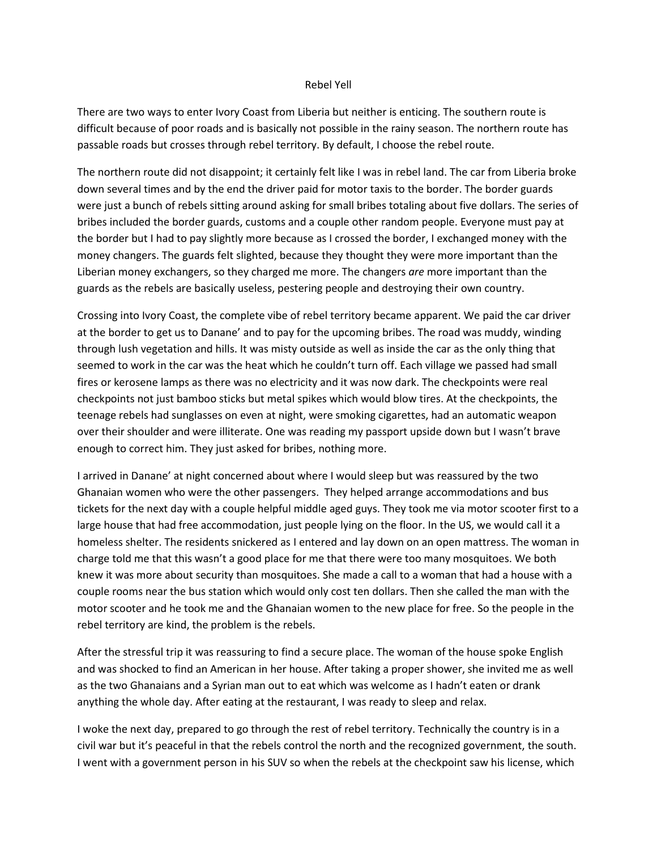## Rebel Yell

There are two ways to enter Ivory Coast from Liberia but neither is enticing. The southern route is difficult because of poor roads and is basically not possible in the rainy season. The northern route has passable roads but crosses through rebel territory. By default, I choose the rebel route.

The northern route did not disappoint; it certainly felt like I was in rebel land. The car from Liberia broke down several times and by the end the driver paid for motor taxis to the border. The border guards were just a bunch of rebels sitting around asking for small bribes totaling about five dollars. The series of bribes included the border guards, customs and a couple other random people. Everyone must pay at the border but I had to pay slightly more because as I crossed the border, I exchanged money with the money changers. The guards felt slighted, because they thought they were more important than the Liberian money exchangers, so they charged me more. The changers *are* more important than the guards as the rebels are basically useless, pestering people and destroying their own country.

Crossing into Ivory Coast, the complete vibe of rebel territory became apparent. We paid the car driver at the border to get us to Danane' and to pay for the upcoming bribes. The road was muddy, winding through lush vegetation and hills. It was misty outside as well as inside the car as the only thing that seemed to work in the car was the heat which he couldn't turn off. Each village we passed had small fires or kerosene lamps as there was no electricity and it was now dark. The checkpoints were real checkpoints not just bamboo sticks but metal spikes which would blow tires. At the checkpoints, the teenage rebels had sunglasses on even at night, were smoking cigarettes, had an automatic weapon over their shoulder and were illiterate. One was reading my passport upside down but I wasn't brave enough to correct him. They just asked for bribes, nothing more.

I arrived in Danane' at night concerned about where I would sleep but was reassured by the two Ghanaian women who were the other passengers. They helped arrange accommodations and bus tickets for the next day with a couple helpful middle aged guys. They took me via motor scooter first to a large house that had free accommodation, just people lying on the floor. In the US, we would call it a homeless shelter. The residents snickered as I entered and lay down on an open mattress. The woman in charge told me that this wasn't a good place for me that there were too many mosquitoes. We both knew it was more about security than mosquitoes. She made a call to a woman that had a house with a couple rooms near the bus station which would only cost ten dollars. Then she called the man with the motor scooter and he took me and the Ghanaian women to the new place for free. So the people in the rebel territory are kind, the problem is the rebels.

After the stressful trip it was reassuring to find a secure place. The woman of the house spoke English and was shocked to find an American in her house. After taking a proper shower, she invited me as well as the two Ghanaians and a Syrian man out to eat which was welcome as I hadn't eaten or drank anything the whole day. After eating at the restaurant, I was ready to sleep and relax.

I woke the next day, prepared to go through the rest of rebel territory. Technically the country is in a civil war but it's peaceful in that the rebels control the north and the recognized government, the south. I went with a government person in his SUV so when the rebels at the checkpoint saw his license, which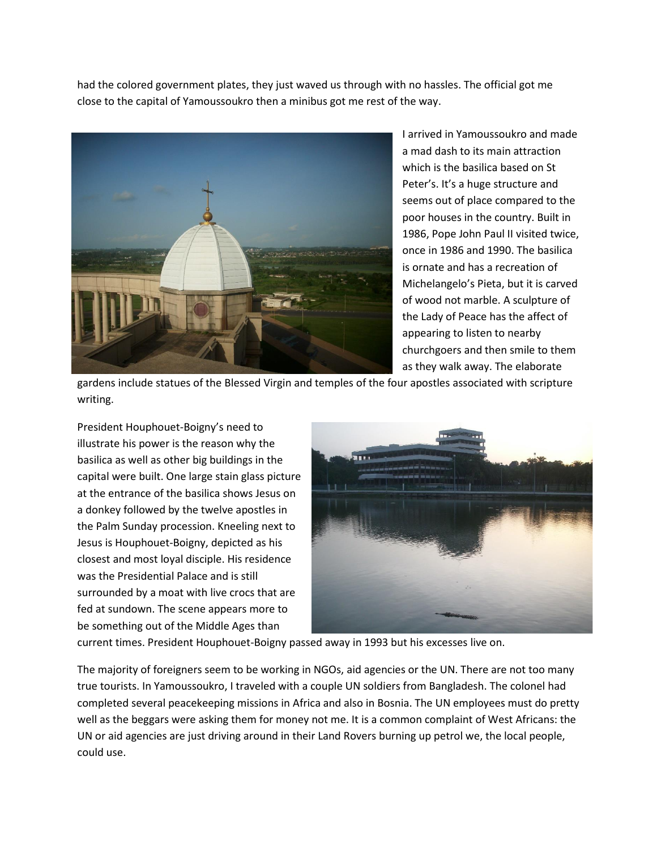had the colored government plates, they just waved us through with no hassles. The official got me close to the capital of Yamoussoukro then a minibus got me rest of the way.



I arrived in Yamoussoukro and made a mad dash to its main attraction which is the basilica based on St Peter's. It's a huge structure and seems out of place compared to the poor houses in the country. Built in 1986, Pope John Paul II visited twice, once in 1986 and 1990. The basilica is ornate and has a recreation of Michelangelo's Pieta, but it is carved of wood not marble. A sculpture of the Lady of Peace has the affect of appearing to listen to nearby churchgoers and then smile to them as they walk away. The elaborate

gardens include statues of the Blessed Virgin and temples of the four apostles associated with scripture writing.

President Houphouet-Boigny's need to illustrate his power is the reason why the basilica as well as other big buildings in the capital were built. One large stain glass picture at the entrance of the basilica shows Jesus on a donkey followed by the twelve apostles in the Palm Sunday procession. Kneeling next to Jesus is Houphouet-Boigny, depicted as his closest and most loyal disciple. His residence was the Presidential Palace and is still surrounded by a moat with live crocs that are fed at sundown. The scene appears more to be something out of the Middle Ages than



current times. President Houphouet-Boigny passed away in 1993 but his excesses live on.

The majority of foreigners seem to be working in NGOs, aid agencies or the UN. There are not too many true tourists. In Yamoussoukro, I traveled with a couple UN soldiers from Bangladesh. The colonel had completed several peacekeeping missions in Africa and also in Bosnia. The UN employees must do pretty well as the beggars were asking them for money not me. It is a common complaint of West Africans: the UN or aid agencies are just driving around in their Land Rovers burning up petrol we, the local people, could use.